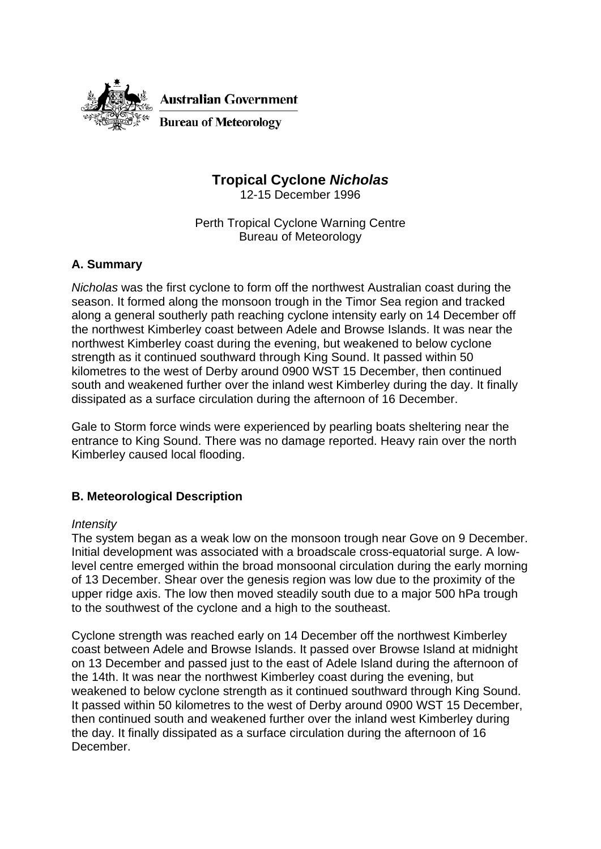

# **Tropical Cyclone** *Nicholas*

12-15 December 1996

Perth Tropical Cyclone Warning Centre Bureau of Meteorology

# **A. Summary**

*Nicholas* was the first cyclone to form off the northwest Australian coast during the season. It formed along the monsoon trough in the Timor Sea region and tracked along a general southerly path reaching cyclone intensity early on 14 December off the northwest Kimberley coast between Adele and Browse Islands. It was near the northwest Kimberley coast during the evening, but weakened to below cyclone strength as it continued southward through King Sound. It passed within 50 kilometres to the west of Derby around 0900 WST 15 December, then continued south and weakened further over the inland west Kimberley during the day. It finally dissipated as a surface circulation during the afternoon of 16 December.

Gale to Storm force winds were experienced by pearling boats sheltering near the entrance to King Sound. There was no damage reported. Heavy rain over the north Kimberley caused local flooding.

## **B. Meteorological Description**

### *Intensity*

The system began as a weak low on the monsoon trough near Gove on 9 December. Initial development was associated with a broadscale cross-equatorial surge. A lowlevel centre emerged within the broad monsoonal circulation during the early morning of 13 December. Shear over the genesis region was low due to the proximity of the upper ridge axis. The low then moved steadily south due to a major 500 hPa trough to the southwest of the cyclone and a high to the southeast.

Cyclone strength was reached early on 14 December off the northwest Kimberley coast between Adele and Browse Islands. It passed over Browse Island at midnight on 13 December and passed just to the east of Adele Island during the afternoon of the 14th. It was near the northwest Kimberley coast during the evening, but weakened to below cyclone strength as it continued southward through King Sound. It passed within 50 kilometres to the west of Derby around 0900 WST 15 December, then continued south and weakened further over the inland west Kimberley during the day. It finally dissipated as a surface circulation during the afternoon of 16 December.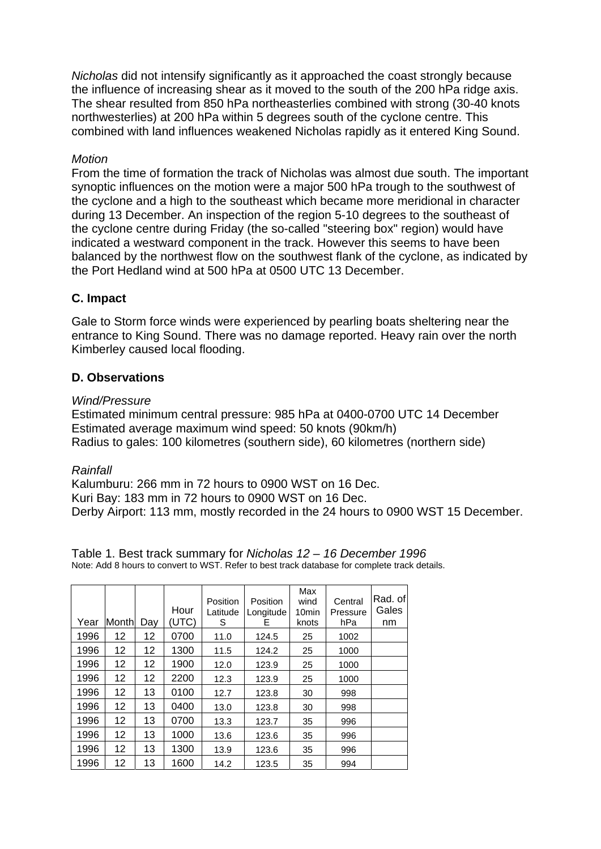*Nicholas* did not intensify significantly as it approached the coast strongly because the influence of increasing shear as it moved to the south of the 200 hPa ridge axis. The shear resulted from 850 hPa northeasterlies combined with strong (30-40 knots northwesterlies) at 200 hPa within 5 degrees south of the cyclone centre. This combined with land influences weakened Nicholas rapidly as it entered King Sound.

## *Motion*

From the time of formation the track of Nicholas was almost due south. The important synoptic influences on the motion were a major 500 hPa trough to the southwest of the cyclone and a high to the southeast which became more meridional in character during 13 December. An inspection of the region 5-10 degrees to the southeast of the cyclone centre during Friday (the so-called "steering box" region) would have indicated a westward component in the track. However this seems to have been balanced by the northwest flow on the southwest flank of the cyclone, as indicated by the Port Hedland wind at 500 hPa at 0500 UTC 13 December.

## **C. Impact**

Gale to Storm force winds were experienced by pearling boats sheltering near the entrance to King Sound. There was no damage reported. Heavy rain over the north Kimberley caused local flooding.

## **D. Observations**

#### *Wind/Pressure*

Estimated minimum central pressure: 985 hPa at 0400-0700 UTC 14 December Estimated average maximum wind speed: 50 knots (90km/h) Radius to gales: 100 kilometres (southern side), 60 kilometres (northern side)

### *Rainfall*

Kalumburu: 266 mm in 72 hours to 0900 WST on 16 Dec. Kuri Bay: 183 mm in 72 hours to 0900 WST on 16 Dec. Derby Airport: 113 mm, mostly recorded in the 24 hours to 0900 WST 15 December.

Table 1. Best track summary for *Nicholas 12 – 16 December 1996*  Note: Add 8 hours to convert to WST. Refer to best track database for complete track details.

|      |                 |     | Hour  | Position<br>Latitude | Position<br>Longitude | Max<br>wind<br>10 <sub>min</sub> | Central<br>Pressure | Rad. of<br>Gales |
|------|-----------------|-----|-------|----------------------|-----------------------|----------------------------------|---------------------|------------------|
| Year | Month           | Day | (UTC) | S                    | E.                    | knots                            | hPa                 | nm               |
| 1996 | 12              | 12  | 0700  | 11.0                 | 124.5                 | 25                               | 1002                |                  |
| 1996 | 12              | 12  | 1300  | 11.5                 | 124.2                 | 25                               | 1000                |                  |
| 1996 | 12              | 12  | 1900  | 12.0                 | 123.9                 | 25                               | 1000                |                  |
| 1996 | 12              | 12  | 2200  | 12.3                 | 123.9                 | 25                               | 1000                |                  |
| 1996 | 12              | 13  | 0100  | 12.7                 | 123.8                 | 30                               | 998                 |                  |
| 1996 | 12              | 13  | 0400  | 13.0                 | 123.8                 | 30                               | 998                 |                  |
| 1996 | 12              | 13  | 0700  | 13.3                 | 123.7                 | 35                               | 996                 |                  |
| 1996 | 12              | 13  | 1000  | 13.6                 | 123.6                 | 35                               | 996                 |                  |
| 1996 | 12              | 13  | 1300  | 13.9                 | 123.6                 | 35                               | 996                 |                  |
| 1996 | 12 <sup>2</sup> | 13  | 1600  | 14.2                 | 123.5                 | 35                               | 994                 |                  |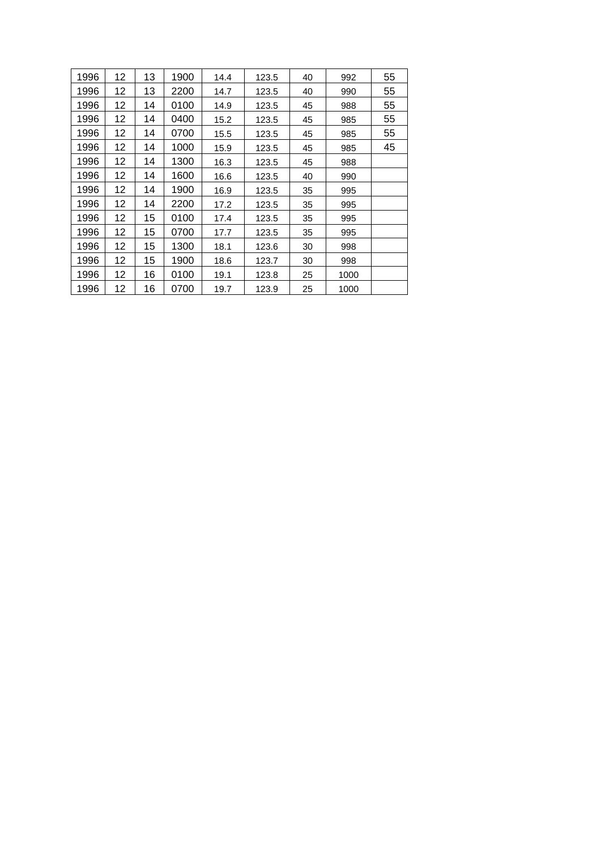| 1996 | 12 | 13 | 1900 | 14.4 | 123.5 | 40 | 992  | 55 |
|------|----|----|------|------|-------|----|------|----|
| 1996 | 12 | 13 | 2200 | 14.7 | 123.5 | 40 | 990  | 55 |
| 1996 | 12 | 14 | 0100 | 14.9 | 123.5 | 45 | 988  | 55 |
| 1996 | 12 | 14 | 0400 | 15.2 | 123.5 | 45 | 985  | 55 |
| 1996 | 12 | 14 | 0700 | 15.5 | 123.5 | 45 | 985  | 55 |
| 1996 | 12 | 14 | 1000 | 15.9 | 123.5 | 45 | 985  | 45 |
| 1996 | 12 | 14 | 1300 | 16.3 | 123.5 | 45 | 988  |    |
| 1996 | 12 | 14 | 1600 | 16.6 | 123.5 | 40 | 990  |    |
| 1996 | 12 | 14 | 1900 | 16.9 | 123.5 | 35 | 995  |    |
| 1996 | 12 | 14 | 2200 | 17.2 | 123.5 | 35 | 995  |    |
| 1996 | 12 | 15 | 0100 | 17.4 | 123.5 | 35 | 995  |    |
| 1996 | 12 | 15 | 0700 | 17.7 | 123.5 | 35 | 995  |    |
| 1996 | 12 | 15 | 1300 | 18.1 | 123.6 | 30 | 998  |    |
| 1996 | 12 | 15 | 1900 | 18.6 | 123.7 | 30 | 998  |    |
| 1996 | 12 | 16 | 0100 | 19.1 | 123.8 | 25 | 1000 |    |
| 1996 | 12 | 16 | 0700 | 19.7 | 123.9 | 25 | 1000 |    |